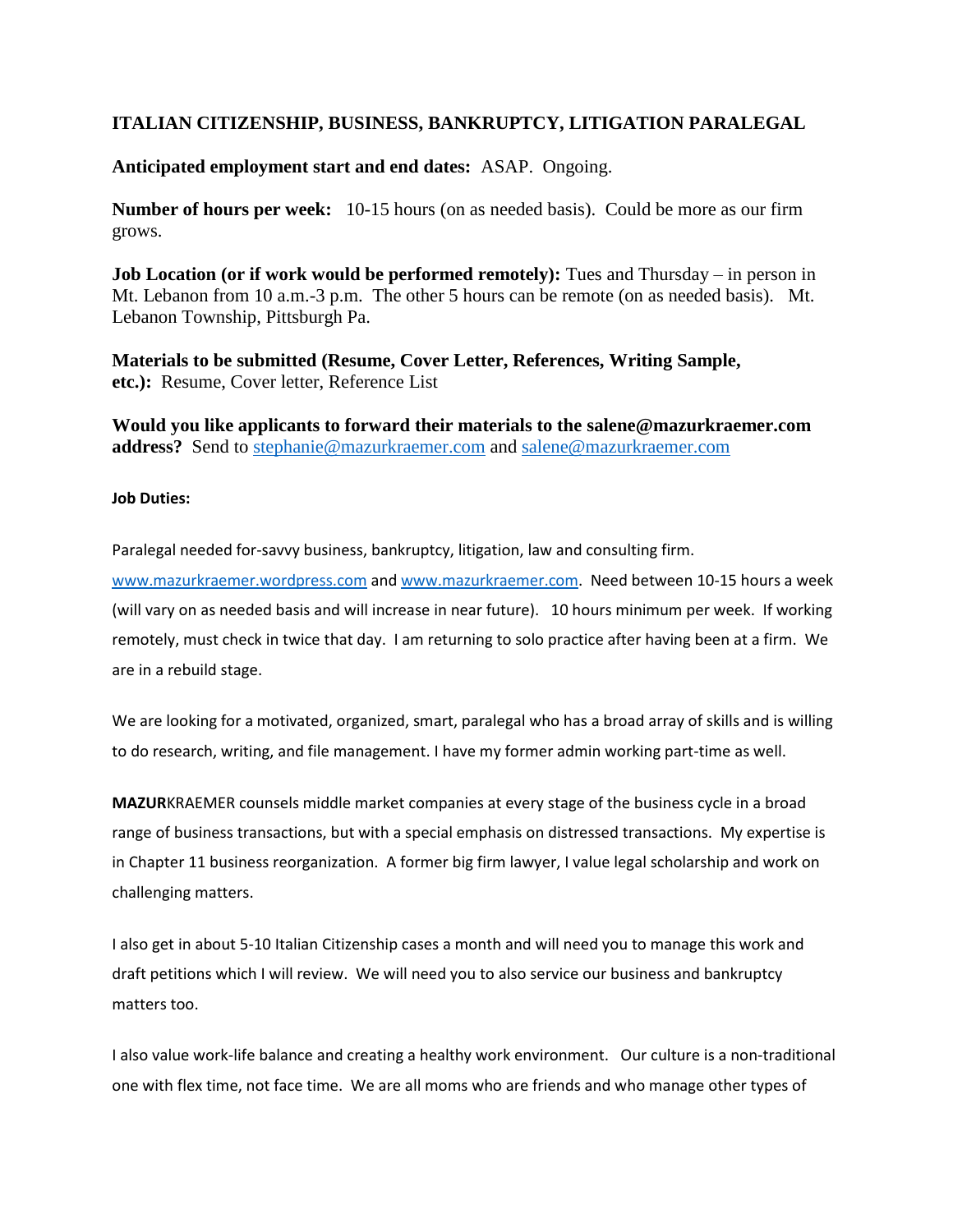## **ITALIAN CITIZENSHIP, BUSINESS, BANKRUPTCY, LITIGATION PARALEGAL**

**Anticipated employment start and end dates:** ASAP. Ongoing.

**Number of hours per week:** 10-15 hours (on as needed basis). Could be more as our firm grows.

**Job Location (or if work would be performed remotely):** Tues and Thursday – in person in Mt. Lebanon from 10 a.m.-3 p.m. The other 5 hours can be remote (on as needed basis). Mt. Lebanon Township, Pittsburgh Pa.

**Materials to be submitted (Resume, Cover Letter, References, Writing Sample, etc.):** Resume, Cover letter, Reference List

**Would you like applicants to forward their materials to the [salene@mazurkraemer.com](mailto:salene@mazurkraemer.com) address?** Send to [stephanie@mazurkraemer.com](mailto:stephanie@mazurkraemer.com) and [salene@mazurkraemer.com](mailto:salene@mazurkraemer.com)

## **Job Duties:**

Paralegal needed for-savvy business, bankruptcy, litigation, law and consulting firm.

[www.mazurkraemer.wordpress.com](https://nam02.safelinks.protection.outlook.com/?url=http%3A%2F%2Fwww.mazurkraemer.wordpress.com%2F&data=05%7C01%7Crohallc%40duq.edu%7Caa1d4c2b68184f068e8908da26acc2f9%7C12c44311cf844e4195c38df690b1eb61%7C0%7C0%7C637864820687462231%7CUnknown%7CTWFpbGZsb3d8eyJWIjoiMC4wLjAwMDAiLCJQIjoiV2luMzIiLCJBTiI6Ik1haWwiLCJXVCI6Mn0%3D%7C3000%7C%7C%7C&sdata=IU3UrFEWvSVUeqemgAWWeDf2jVsOwz4Um4Ifjbqy74k%3D&reserved=0) and [www.mazurkraemer.com.](https://nam02.safelinks.protection.outlook.com/?url=http%3A%2F%2Fwww.mazurkraemer.com%2F&data=05%7C01%7Crohallc%40duq.edu%7Caa1d4c2b68184f068e8908da26acc2f9%7C12c44311cf844e4195c38df690b1eb61%7C0%7C0%7C637864820687462231%7CUnknown%7CTWFpbGZsb3d8eyJWIjoiMC4wLjAwMDAiLCJQIjoiV2luMzIiLCJBTiI6Ik1haWwiLCJXVCI6Mn0%3D%7C3000%7C%7C%7C&sdata=ThyzOYFzClLBeiPqyffgFdVGM4tfswkGzOW6kLWGLOc%3D&reserved=0) Need between 10-15 hours a week (will vary on as needed basis and will increase in near future). 10 hours minimum per week. If working remotely, must check in twice that day. I am returning to solo practice after having been at a firm. We are in a rebuild stage.

We are looking for a motivated, organized, smart, paralegal who has a broad array of skills and is willing to do research, writing, and file management. I have my former admin working part-time as well.

**MAZUR**KRAEMER counsels middle market companies at every stage of the business cycle in a broad range of business transactions, but with a special emphasis on distressed transactions. My expertise is in Chapter 11 business reorganization. A former big firm lawyer, I value legal scholarship and work on challenging matters.

I also get in about 5-10 Italian Citizenship cases a month and will need you to manage this work and draft petitions which I will review. We will need you to also service our business and bankruptcy matters too.

I also value work-life balance and creating a healthy work environment. Our culture is a non-traditional one with flex time, not face time. We are all moms who are friends and who manage other types of